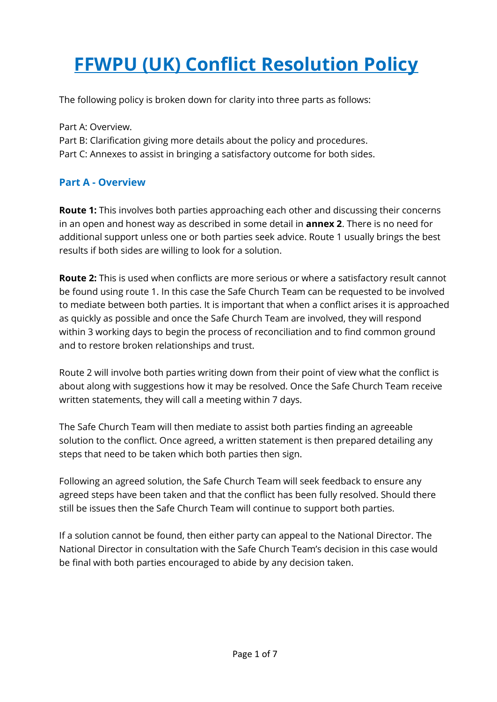# **FFWPU (UK) Conflict Resolution Policy**

The following policy is broken down for clarity into three parts as follows:

Part A: Overview. Part B: Clarification giving more details about the policy and procedures. Part C: Annexes to assist in bringing a satisfactory outcome for both sides.

# **Part A - Overview**

**Route 1:** This involves both parties approaching each other and discussing their concerns in an open and honest way as described in some detail in **annex 2**. There is no need for additional support unless one or both parties seek advice. Route 1 usually brings the best results if both sides are willing to look for a solution.

**Route 2:** This is used when conflicts are more serious or where a satisfactory result cannot be found using route 1. In this case the Safe Church Team can be requested to be involved to mediate between both parties. It is important that when a conflict arises it is approached as quickly as possible and once the Safe Church Team are involved, they will respond within 3 working days to begin the process of reconciliation and to find common ground and to restore broken relationships and trust.

Route 2 will involve both parties writing down from their point of view what the conflict is about along with suggestions how it may be resolved. Once the Safe Church Team receive written statements, they will call a meeting within 7 days.

The Safe Church Team will then mediate to assist both parties finding an agreeable solution to the conflict. Once agreed, a written statement is then prepared detailing any steps that need to be taken which both parties then sign.

Following an agreed solution, the Safe Church Team will seek feedback to ensure any agreed steps have been taken and that the conflict has been fully resolved. Should there still be issues then the Safe Church Team will continue to support both parties.

If a solution cannot be found, then either party can appeal to the National Director. The National Director in consultation with the Safe Church Team's decision in this case would be final with both parties encouraged to abide by any decision taken.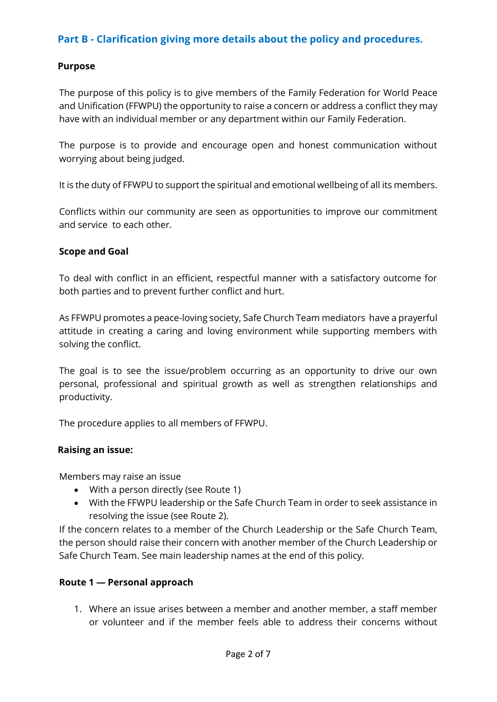# **Part B - Clarification giving more details about the policy and procedures.**

#### **Purpose**

The purpose of this policy is to give members of the Family Federation for World Peace and Unification (FFWPU) the opportunity to raise a concern or address a conflict they may have with an individual member or any department within our Family Federation.

The purpose is to provide and encourage open and honest communication without worrying about being judged.

It is the duty of FFWPU to support the spiritual and emotional wellbeing of all its members.

Conflicts within our community are seen as opportunities to improve our commitment and service to each other.

#### **Scope and Goal**

To deal with conflict in an efficient, respectful manner with a satisfactory outcome for both parties and to prevent further conflict and hurt.

As FFWPU promotes a peace-loving society, Safe Church Team mediators have a prayerful attitude in creating a caring and loving environment while supporting members with solving the conflict.

The goal is to see the issue/problem occurring as an opportunity to drive our own personal, professional and spiritual growth as well as strengthen relationships and productivity.

The procedure applies to all members of FFWPU.

#### **Raising an issue:**

Members may raise an issue

- With a person directly (see Route 1)
- With the FFWPU leadership or the Safe Church Team in order to seek assistance in resolving the issue (see Route 2).

If the concern relates to a member of the Church Leadership or the Safe Church Team, the person should raise their concern with another member of the Church Leadership or Safe Church Team. See main leadership names at the end of this policy.

#### **Route 1 — Personal approach**

1. Where an issue arises between a member and another member, a staff member or volunteer and if the member feels able to address their concerns without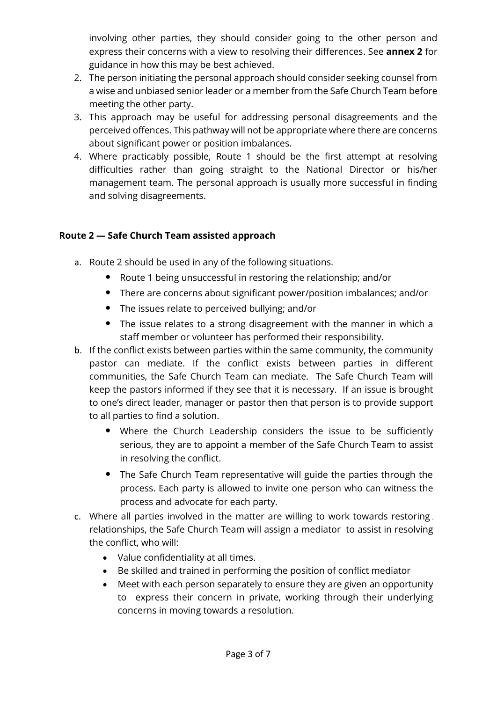involving other parties, they should consider going to the other person and express their concerns with a view to resolving their differences. See **annex 2** for guidance in how this may be best achieved.

- 2. The person initiating the personal approach should consider seeking counsel from a wise and unbiased senior leader or a member from the Safe Church Team before meeting the other party.
- 3. This approach may be useful for addressing personal disagreements and the perceived offences. This pathway will not be appropriate where there are concerns about significant power or position imbalances.
- 4. Where practicably possible, Route 1 should be the first attempt at resolving difficulties rather than going straight to the National Director or his/her management team. The personal approach is usually more successful in finding and solving disagreements.

# **Route 2 — Safe Church Team assisted approach**

- a. Route 2 should be used in any of the following situations.
	- Route 1 being unsuccessful in restoring the relationship; and/or
	- There are concerns about significant power/position imbalances; and/or
	- The issues relate to perceived bullying; and/or
	- The issue relates to a strong disagreement with the manner in which a staff member or volunteer has performed their responsibility.
- b. If the conflict exists between parties within the same community, the community pastor can mediate. If the conflict exists between parties in different communities, the Safe Church Team can mediate. The Safe Church Team will keep the pastors informed if they see that it is necessary. If an issue is brought to one's direct leader, manager or pastor then that person is to provide support to all parties to find a solution.
	- Where the Church Leadership considers the issue to be sufficiently serious, they are to appoint a member of the Safe Church Team to assist in resolving the conflict.
	- The Safe Church Team representative will guide the parties through the process. Each party is allowed to invite one person who can witness the process and advocate for each party.
- c. Where all parties involved in the matter are willing to work towards restoring relationships, the Safe Church Team will assign a mediator to assist in resolving the conflict, who will:
	- Value confidentiality at all times.
	- Be skilled and trained in performing the position of conflict mediator
	- Meet with each person separately to ensure they are given an opportunity to express their concern in private, working through their underlying concerns in moving towards a resolution.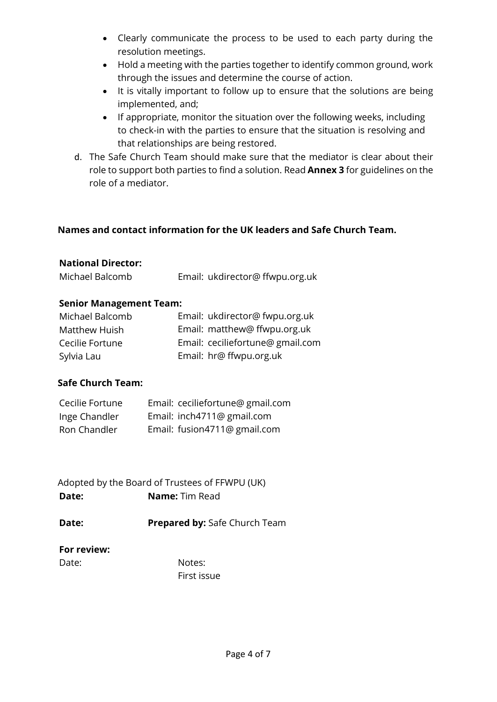- Clearly communicate the process to be used to each party during the resolution meetings.
- Hold a meeting with the parties together to identify common ground, work through the issues and determine the course of action.
- It is vitally important to follow up to ensure that the solutions are being implemented, and;
- If appropriate, monitor the situation over the following weeks, including to check-in with the parties to ensure that the situation is resolving and that relationships are being restored.
- d. The Safe Church Team should make sure that the mediator is clear about their role to support both parties to find a solution. Read **Annex 3** for guidelines on the role of a mediator.

# **Names and contact information for the UK leaders and Safe Church Team.**

#### **National Director:**

| Michael Balcomb | Email: ukdirector@ffwpu.org.uk |
|-----------------|--------------------------------|
|                 |                                |

## **Senior Management Team:**

| Michael Balcomb | Email: ukdirector@ fwpu.org.uk   |
|-----------------|----------------------------------|
| Matthew Huish   | Email: matthew@ ffwpu.org.uk     |
| Cecilie Fortune | Email: ceciliefortune@ gmail.com |
| Sylvia Lau      | Email: hr@ ffwpu.org.uk          |

## **Safe Church Team:**

| Cecilie Fortune | Email: ceciliefortune@ gmail.com |
|-----------------|----------------------------------|
| Inge Chandler   | Email: inch4711@ gmail.com       |
| Ron Chandler    | Email: fusion4711@ gmail.com     |

Adopted by the Board of Trustees of FFWPU (UK) **Date: Name:** Tim Read

**Date: Prepared by:** Safe Church Team

## **For review:**

Date: Notes: First issue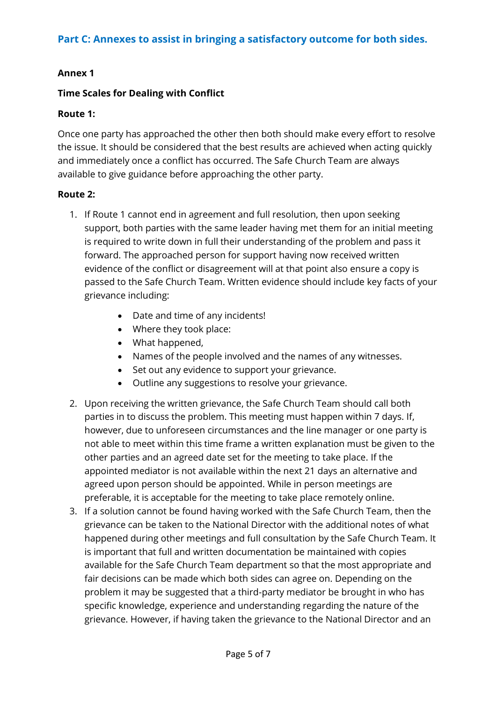# **Annex 1**

## **Time Scales for Dealing with Conflict**

## **Route 1:**

Once one party has approached the other then both should make every effort to resolve the issue. It should be considered that the best results are achieved when acting quickly and immediately once a conflict has occurred. The Safe Church Team are always available to give guidance before approaching the other party.

#### **Route 2:**

- 1. If Route 1 cannot end in agreement and full resolution, then upon seeking support, both parties with the same leader having met them for an initial meeting is required to write down in full their understanding of the problem and pass it forward. The approached person for support having now received written evidence of the conflict or disagreement will at that point also ensure a copy is passed to the Safe Church Team. Written evidence should include key facts of your grievance including:
	- Date and time of any incidents!
	- Where they took place:
	- What happened,
	- Names of the people involved and the names of any witnesses.
	- Set out any evidence to support your grievance.
	- Outline any suggestions to resolve your grievance.
- 2. Upon receiving the written grievance, the Safe Church Team should call both parties in to discuss the problem. This meeting must happen within 7 days. If, however, due to unforeseen circumstances and the line manager or one party is not able to meet within this time frame a written explanation must be given to the other parties and an agreed date set for the meeting to take place. If the appointed mediator is not available within the next 21 days an alternative and agreed upon person should be appointed. While in person meetings are preferable, it is acceptable for the meeting to take place remotely online.
- 3. If a solution cannot be found having worked with the Safe Church Team, then the grievance can be taken to the National Director with the additional notes of what happened during other meetings and full consultation by the Safe Church Team. It is important that full and written documentation be maintained with copies available for the Safe Church Team department so that the most appropriate and fair decisions can be made which both sides can agree on. Depending on the problem it may be suggested that a third-party mediator be brought in who has specific knowledge, experience and understanding regarding the nature of the grievance. However, if having taken the grievance to the National Director and an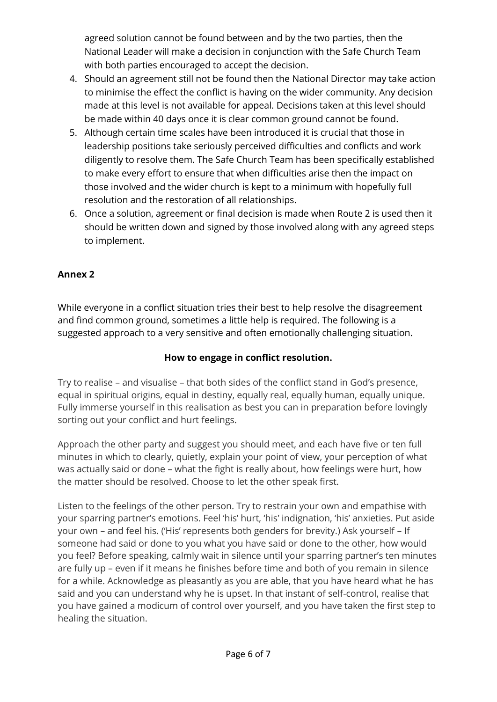agreed solution cannot be found between and by the two parties, then the National Leader will make a decision in conjunction with the Safe Church Team with both parties encouraged to accept the decision.

- 4. Should an agreement still not be found then the National Director may take action to minimise the effect the conflict is having on the wider community. Any decision made at this level is not available for appeal. Decisions taken at this level should be made within 40 days once it is clear common ground cannot be found.
- 5. Although certain time scales have been introduced it is crucial that those in leadership positions take seriously perceived difficulties and conflicts and work diligently to resolve them. The Safe Church Team has been specifically established to make every effort to ensure that when difficulties arise then the impact on those involved and the wider church is kept to a minimum with hopefully full resolution and the restoration of all relationships.
- 6. Once a solution, agreement or final decision is made when Route 2 is used then it should be written down and signed by those involved along with any agreed steps to implement.

# **Annex 2**

While everyone in a conflict situation tries their best to help resolve the disagreement and find common ground, sometimes a little help is required. The following is a suggested approach to a very sensitive and often emotionally challenging situation.

# **How to engage in conflict resolution.**

Try to realise – and visualise – that both sides of the conflict stand in God's presence, equal in spiritual origins, equal in destiny, equally real, equally human, equally unique. Fully immerse yourself in this realisation as best you can in preparation before lovingly sorting out your conflict and hurt feelings.

Approach the other party and suggest you should meet, and each have five or ten full minutes in which to clearly, quietly, explain your point of view, your perception of what was actually said or done – what the fight is really about, how feelings were hurt, how the matter should be resolved. Choose to let the other speak first.

Listen to the feelings of the other person. Try to restrain your own and empathise with your sparring partner's emotions. Feel 'his' hurt, 'his' indignation, 'his' anxieties. Put aside your own – and feel his. ('His' represents both genders for brevity.) Ask yourself – If someone had said or done to you what you have said or done to the other, how would you feel? Before speaking, calmly wait in silence until your sparring partner's ten minutes are fully up – even if it means he finishes before time and both of you remain in silence for a while. Acknowledge as pleasantly as you are able, that you have heard what he has said and you can understand why he is upset. In that instant of self-control, realise that you have gained a modicum of control over yourself, and you have taken the first step to healing the situation.